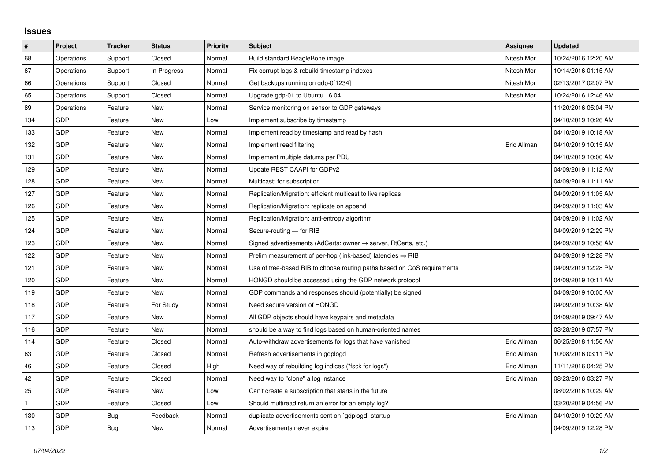## **Issues**

| $\vert$ #    | Project    | <b>Tracker</b> | <b>Status</b> | <b>Priority</b> | Subject                                                                    | Assignee    | <b>Updated</b>      |
|--------------|------------|----------------|---------------|-----------------|----------------------------------------------------------------------------|-------------|---------------------|
| 68           | Operations | Support        | Closed        | Normal          | Build standard BeagleBone image                                            | Nitesh Mor  | 10/24/2016 12:20 AM |
| 67           | Operations | Support        | In Progress   | Normal          | Fix corrupt logs & rebuild timestamp indexes                               | Nitesh Mor  | 10/14/2016 01:15 AM |
| 66           | Operations | Support        | Closed        | Normal          | Get backups running on gdp-0[1234]                                         | Nitesh Mor  | 02/13/2017 02:07 PM |
| 65           | Operations | Support        | Closed        | Normal          | Upgrade gdp-01 to Ubuntu 16.04                                             | Nitesh Mor  | 10/24/2016 12:46 AM |
| 89           | Operations | Feature        | New           | Normal          | Service monitoring on sensor to GDP gateways                               |             | 11/20/2016 05:04 PM |
| 134          | <b>GDP</b> | Feature        | New           | Low             | Implement subscribe by timestamp                                           |             | 04/10/2019 10:26 AM |
| 133          | GDP        | Feature        | <b>New</b>    | Normal          | Implement read by timestamp and read by hash                               |             | 04/10/2019 10:18 AM |
| 132          | <b>GDP</b> | Feature        | New           | Normal          | Implement read filtering                                                   | Eric Allman | 04/10/2019 10:15 AM |
| 131          | <b>GDP</b> | Feature        | <b>New</b>    | Normal          | Implement multiple datums per PDU                                          |             | 04/10/2019 10:00 AM |
| 129          | <b>GDP</b> | Feature        | New           | Normal          | Update REST CAAPI for GDPv2                                                |             | 04/09/2019 11:12 AM |
| 128          | <b>GDP</b> | Feature        | New           | Normal          | Multicast: for subscription                                                |             | 04/09/2019 11:11 AM |
| 127          | <b>GDP</b> | Feature        | <b>New</b>    | Normal          | Replication/Migration: efficient multicast to live replicas                |             | 04/09/2019 11:05 AM |
| 126          | <b>GDP</b> | Feature        | New           | Normal          | Replication/Migration: replicate on append                                 |             | 04/09/2019 11:03 AM |
| 125          | GDP        | Feature        | New           | Normal          | Replication/Migration: anti-entropy algorithm                              |             | 04/09/2019 11:02 AM |
| 124          | <b>GDP</b> | Feature        | <b>New</b>    | Normal          | Secure-routing - for RIB                                                   |             | 04/09/2019 12:29 PM |
| 123          | GDP        | Feature        | <b>New</b>    | Normal          | Signed advertisements (AdCerts: owner $\rightarrow$ server, RtCerts, etc.) |             | 04/09/2019 10:58 AM |
| 122          | <b>GDP</b> | Feature        | New           | Normal          | Prelim measurement of per-hop (link-based) latencies $\Rightarrow$ RIB     |             | 04/09/2019 12:28 PM |
| 121          | <b>GDP</b> | Feature        | New           | Normal          | Use of tree-based RIB to choose routing paths based on QoS requirements    |             | 04/09/2019 12:28 PM |
| 120          | <b>GDP</b> | Feature        | New           | Normal          | HONGD should be accessed using the GDP network protocol                    |             | 04/09/2019 10:11 AM |
| 119          | <b>GDP</b> | Feature        | New           | Normal          | GDP commands and responses should (potentially) be signed                  |             | 04/09/2019 10:05 AM |
| 118          | <b>GDP</b> | Feature        | For Study     | Normal          | Need secure version of HONGD                                               |             | 04/09/2019 10:38 AM |
| 117          | <b>GDP</b> | Feature        | New           | Normal          | All GDP objects should have keypairs and metadata                          |             | 04/09/2019 09:47 AM |
| 116          | GDP        | Feature        | New           | Normal          | should be a way to find logs based on human-oriented names                 |             | 03/28/2019 07:57 PM |
| 114          | <b>GDP</b> | Feature        | Closed        | Normal          | Auto-withdraw advertisements for logs that have vanished                   | Eric Allman | 06/25/2018 11:56 AM |
| 63           | <b>GDP</b> | Feature        | Closed        | Normal          | Refresh advertisements in gdplogd                                          | Eric Allman | 10/08/2016 03:11 PM |
| 46           | <b>GDP</b> | Feature        | Closed        | High            | Need way of rebuilding log indices ("fsck for logs")                       | Eric Allman | 11/11/2016 04:25 PM |
| 42           | <b>GDP</b> | Feature        | Closed        | Normal          | Need way to "clone" a log instance                                         | Eric Allman | 08/23/2016 03:27 PM |
| 25           | <b>GDP</b> | Feature        | New           | Low             | Can't create a subscription that starts in the future                      |             | 08/02/2016 10:29 AM |
| $\mathbf{1}$ | <b>GDP</b> | Feature        | Closed        | Low             | Should multiread return an error for an empty log?                         |             | 03/20/2019 04:56 PM |
| 130          | <b>GDP</b> | Bug            | Feedback      | Normal          | duplicate advertisements sent on `gdplogd` startup                         | Eric Allman | 04/10/2019 10:29 AM |
| 113          | <b>GDP</b> | Bug            | New           | Normal          | Advertisements never expire                                                |             | 04/09/2019 12:28 PM |